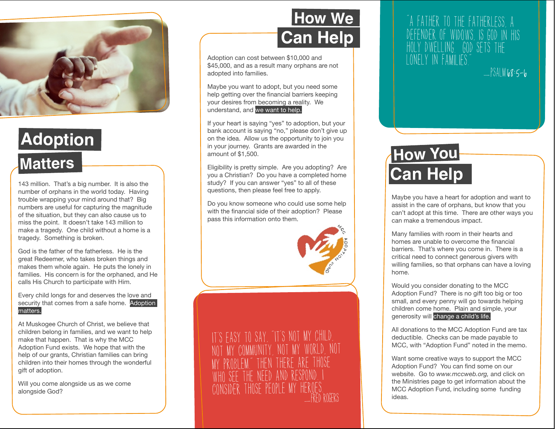

# **Adoption Matters**

143 million. That's a big number. It is also the number of orphans in the world today. Having trouble wrapping your mind around that? Big numbers are useful for capturing the magnitude of the situation, but they can also cause us to miss the point. It doesn't take 143 million to make a tragedy. One child without a home is a tragedy. Something is broken.

God is the father of the fatherless. He is the great Redeemer, who takes broken things and makes them whole again. He puts the lonely in families. His concern is for the orphaned, and He calls His Church to participate with Him.

Every child longs for and deserves the love and security that comes from a safe home. Adoption matters.

At Muskogee Church of Christ, we believe that children belong in families, and we want to help make that happen. That is why the MCC Adoption Fund exists. We hope that with the help of our grants, Christian families can bring children into their homes through the wonderful gift of adoption.

Will you come alongside us as we come alongside God?

### **How We Can Help**

Adoption can cost between \$10,000 and \$45,000, and as a result many orphans are not adopted into families.

Maybe you want to adopt, but you need some help getting over the financial barriers keeping your desires from becoming a reality. We understand, and we want to help.

If your heart is saying "yes" to adoption, but your bank account is saying "no," please don't give up on the idea. Allow us the opportunity to join you in your journey. Grants are awarded in the amount of \$1,500.

Eligibility is pretty simple. Are you adopting? Are you a Christian? Do you have a completed home study? If you can answer "yes" to all of these questions, then please feel free to apply.

Do you know someone who could use some help with the financial side of their adoption? Please pass this information onto them.



NOT MY COMMUNITY, NOT MY WORLD, NOT MY PROBLEM." THEN THERE ARE THOSE WHO SEE THE NEED AND RESPOND. I CONSIDER THOSE PEOPLE MY HEROES. IT'S EASY TO SAY, "IT'S NOT MY CHILD,"

#### "A FATHER TO THE FATHERLESS, A DEFENDER OF WIDOWS, IS GOD IN HIS HOLY DWELLING. GOD SETS THE LONELY IN FAMILIES."  $-$ PSALM 68:5-6

### **How You Can Help**

Maybe you have a heart for adoption and want to assist in the care of orphans, but know that you can't adopt at this time. There are other ways you can make a tremendous impact.

Many families with room in their hearts and homes are unable to overcome the financial barriers. That's where you come in. There is a critical need to connect generous givers with willing families, so that orphans can have a loving home.

Would you consider donating to the MCC Adoption Fund? There is no gift too big or too small, and every penny will go towards helping children come home. Plain and simple, your generosity will change a child's life.

All donations to the MCC Adoption Fund are tax deductible. Checks can be made payable to MCC, with "Adoption Fund" noted in the memo.

Want some creative ways to support the MCC Adoption Fund? You can find some on our website. Go to *www.mccweb.org,* and click on the Ministries page to get information about the MCC Adoption Fund, including some funding ideas.